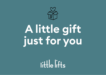

# **A little gift just for you**

 $\left\| \cdot \right\|$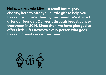**Hello, we're Little Lifts – a small but mighty charity, here to offer you a little gift to help you through your radiotherapy treatment. We started after our founder, Oa, went through breast cancer treatment in 2014. Since then, we have pledged to offer Little Lifts Boxes to every person who goes through breast cancer treatment.** 

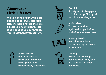## **About your Little Lifts Box**

We've packed your Little Lifts Box full of carefully selected items to help provide the little boosts you might appreciate (and need) as you go through your radiotherapy treatment.



#### **Cordial**

A tasty way to keep your fluid intake up. Simply add to still or sparkling water.



**Moisturiser** To keep your skin hydrated, apply before and after your treatment.



**Munchy Seeds** Nutritious nibbles to snack on or sprinkle over other foods.



**Water bottle** It is important to drink plenty of fluids throughout your radiotherapy treatment.



**Teabags** Herbal teas to keep you hydrated. They can also soothe and help you sleep.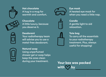

**Hot chocolate** A hug in a mug for warmth and comfort.



**Eye mask** A heated eye mask for when you need a little nap.



**Chocolate** A little luxury, because you deserve it.



**Deodorant** Your radiotherapy team will advise you to use a metal-free deodorant.



**Candle** A gentle light to aid relaxation.



**Tote bag** To carry all the essentials to your radiotherapy treatment. Plus, always useful for shopping!



**Your box was packed with by**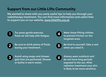## **Support from our Little Lifts Community**

We wanted to share with you some useful tips to help you through your radiotherapy treatment. You can find more information and useful links to support you on our website, www.littlelifts.org.uk



Try some gentle exercise. Fresh air will help with fatigue.



Be sure to drink plenty of fluids during your treatment.



Wear loose-fitting clothes to prevent friction on the targeted area.



Be kind to yourself. Take a rest when you need it.



Avoid using soaps and shower gels that are perfumed. Shower or bathe in warm water.



Always wear sunblock and do not have long periods exposed to the sun. After radiation treatment your skin is likely to be more sensitive.